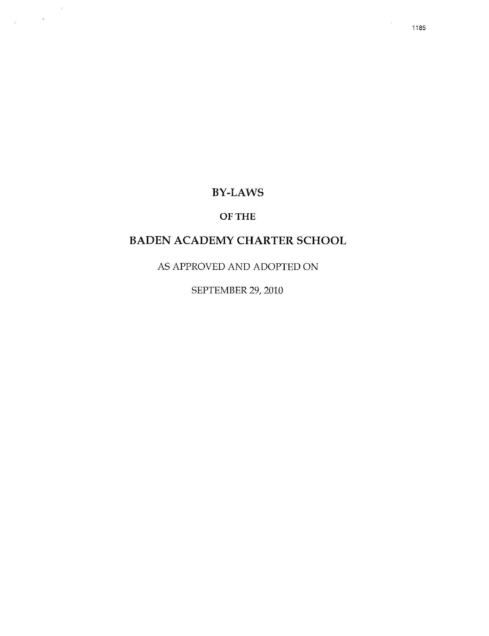## BY-LAWS

 $\label{eq:2} \frac{1}{\left|\mathbf{p}\right|}\leq\frac{1}{\left|\mathbf{p}\right|}$ 

 $\hat{\mathcal{C}}$ 

## OF THE

# BADEN ACADEMY CHARTER SCHOOL

AS APPROVED AND ADOPTED ON

SEPTEMBER 29, 2010

 $\sim$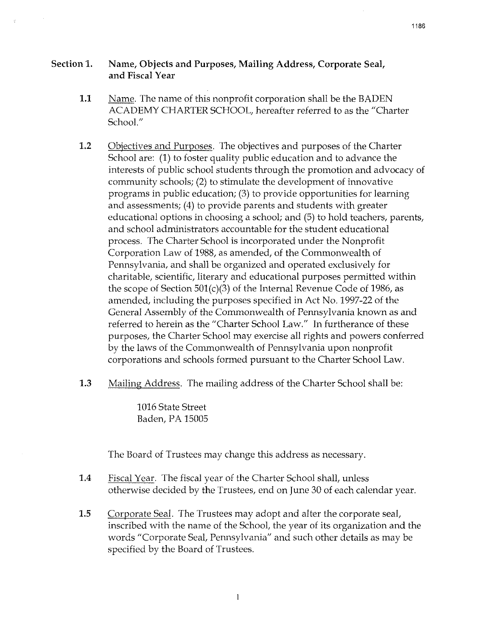#### **Section 1. Name, Objects and Purposes, Mailing Address, Corporate Seal, and Fiscal Year**

- **1.1**  Name. The name of this nonprofit corporation shall be the BADEN ACADEMY CHARTER SCHOOL, hereafter referred to as the "Charter School."
- **1.2**  Objectives and Purposes. The objectives and purposes of the Charter School are: **(1)** to foster quality public education and to advance the interests of public school students through the promotion and advocacy of community schools; (2) to stimulate the development of innovative programs in public education; (3) to provide opportunities for learning and assessments; (4) to provide parents and students with greater educational options in choosing a school; and (5) to hold teachers, parents, and school administrators accountable for the student educational process. The Charter School is incorporated under the Nonprofit Corporation Law of 1988, as amended, of the Commonwealth of Pennsylvania, and shall be organized and operated exclusively for charitable, scientific, literary and educational purposes permitted within the scope of Section 501(c)(3) of the Internal Revenue Code of 1986, as amended, including the purposes specified in Act No. 1997-22 of the General Assembly of the Commonwealth of Pennsylvania known as and referred to herein as the "Charter School Law." **In** furtherance of these purposes, the Charter School may exercise all rights and powers conferred by the laws of the Commonwealth of Pennsylvania upon nonprofit corporations and schools formed pursuant to the Charter School Law.
- **1.3** Mailing Address. The mailing address of the Charter School shall be:

1016 State Street Baden, PA 15005

The Board of Trustees may change this address as necessary.

- **1.4** Fiscal Year. The fiscal year of the Charter School shall, unless otherwise decided by the Trustees, end on June 30 of each calendar year.
- **1.5** Corporate Seal. The Trustees may adopt and alter the corporate seal, inscribed with the name of the School, the year of its organization and the words "Corporate Seal, Permsylvania" and such other details as may be specified by the Board of Trustees.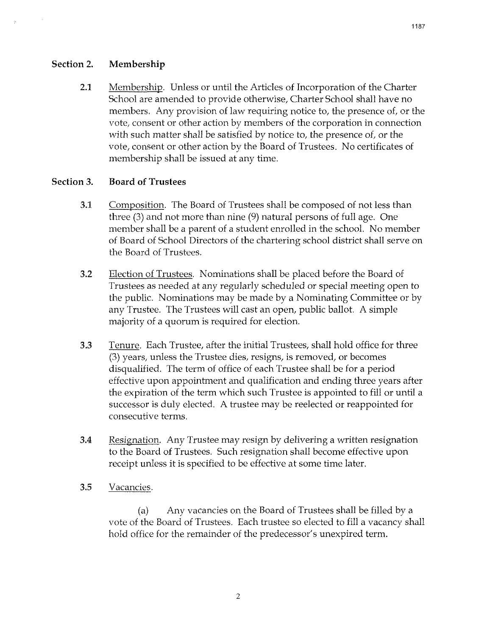#### **Section** 2. **Membership**

**2.1**  Membership. Unless or until the Articles of Incorporation of the Charter School are amended to provide otherwise, Charter School shall have no members. Any provision of law requiring notice to, the presence of, or the vote, consent or other action by members of the corporation in connection with such matter shall be satisfied by notice to, the presence of, or the vote, consent or other action by the Board of Trustees. No certificates of membership shall be issued at any time.

#### **Section 3. Board of Trustees**

- **3.1**  Composition. The Board of Trustees shall be composed of not less than three (3) and not more than nine (9) natural persons of full age. One member shall be a parent of a student enrolled in the school. No member of Board of School Directors of the chartering school district shall serve on the Board of Trustees.
- 3.2 Election of Trustees. Nominations shall be placed before the Board of Trustees as needed at any regularly scheduled or special meeting open to the public. Nominations may be made by a Nominating Committee or by any Trustee. The Trustees will cast an open, public ballot. A simple majority of a quorum is required for election.
- **3.3**  Tenure. Each Trustee, after the initial Trustees, shall hold office for three (3) years, unless the Trustee dies, resigns, is removed, or becomes disqualified. The term of office of each Trustee shall be for a period effective upon appointment and qualification and ending three years after the expiration of the term which such Trustee is appointed to fill or until a successor is duly elected. A trustee may be reelected or reappointed for consecutive terms.
- **3.4** Resignation. Any Trustee may resign by delivering a written resignation to the Board of Trustees. Such resignation shall become effective upon receipt unless it is specified to be effective at some time later.
- **3.5** Vacancies.

(a) Any vacancies on the Board of Trustees shall be filled by a vote of the Board of Trustees. Each trustee so elected to fill a vacancy shall hold office for the remainder of the predecessor's unexpired term.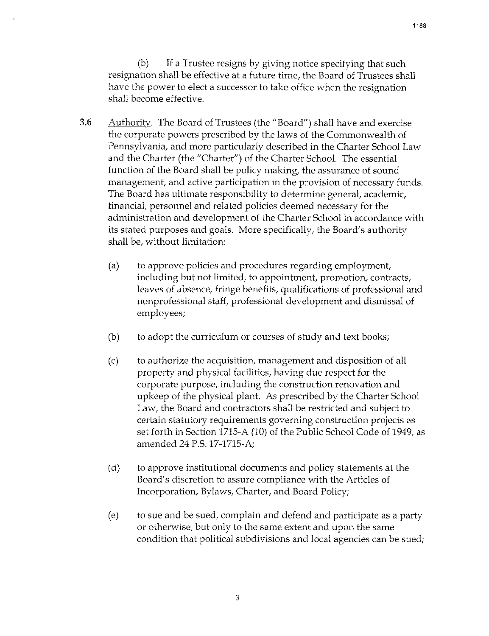(b) If a Trustee resigns by giving notice specifying that such resignation shall be effective at a future time, the Board of Trustees shall have the power to elect a successor to take office when the resignation shall become effective.

- 3.6 Authority. The Board of Trustees (the "Board") shall have and exercise the corporate powers prescribed by the laws of the Commonwealth of Pennsylvania, and more particularly described in the Charter School Law and the Charter (the "Charter") of the Charter School. The essential function of the Board shall be policy making, the assurance of sound management, and active participation in the provision of necessary funds. The Board has ultimate responsibility to determine general, academic, financial, personnel and related policies deemed necessary for the administration and development of the Charter School in accordance with its stated purposes and goals. More specifically, the Board's authority shall be, without limitation:
	- (a) to approve policies and procedures regarding employment, including but not limited, to appointment, promotion, contracts, leaves of absence, fringe benefits, qualifications of professional and nonprofessional staff, professional development and dismissal of employees;
	- (b) to adopt the curriculum or courses of study and text books;
	- (c) to authorize the acquisition, management and disposition of all property and physical facilities, having due respect for the corporate purpose, including the construction renovation and upkeep of the physical plant. As prescribed by the Charter School Law, the Board and contractors shall be restricted and subject to certain statutory requirements governing construction projects as set forth in Section 1715-A (10) of the Public School Code of 1949, as amended 24 P.S. 17-1715-A;
	- (d) to approve institutional documents and policy statements at the Board's discretion to assure compliance with the Articles of Incorporation, Bylaws, Charter, and Board Policy;
	- (e) to sue and be sued, complain and defend and participate as a party or otherwise, but only to the same extent and upon the same condition that political subdivisions and local agencies can be sued;

1188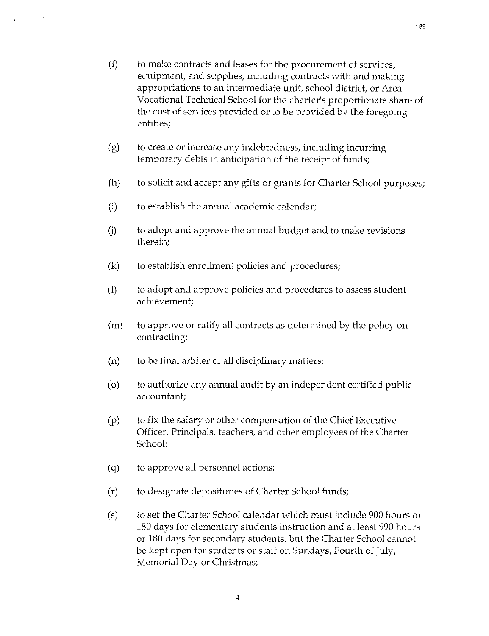- (f) to make contracts and leases for the procurement of services, equipment, and supplies, including contracts with and making appropriations to an intermediate unit, school district, or Area Vocational Technical School for the charter's proportionate share of the cost of services provided or to be provided by the foregoing entities;
- $(g)$  to create or increase any indebtedness, including incurring temporary debts in anticipation of the receipt of funds;
- (h) to solicit and accept any gifts or grants for Charter School purposes;
- (i) to establish the annual academic calendar;
- $(i)$  to adopt and approve the annual budget and to make revisions therein;
- (k) to establish enrollment policies and procedures;
- (I) to adopt and approve policies and procedures to assess student achievement;
- (m) to approve or ratify all contracts as determined by the policy on contracting;
- (n) to be final arbiter of all disciplinary matters;
- (o) to authorize any annual audit by an independent certified public accountant;
- (p) to fix the salary or other compensation of the Chief Executive Officer, Principals, teachers, and other employees of the Charter School;
- (q) to approve all personnel actions;
- (r) to designate depositories of Charter School funds;
- (s) to set the Charter School calendar which must include 900 hours or 180 days for elementary students instruction and at least 990 hours or 180 days for secondary students, but the Charter School cannot be kept open for students or staff on Sundays, Fourth of July, Memorial Day or Christmas;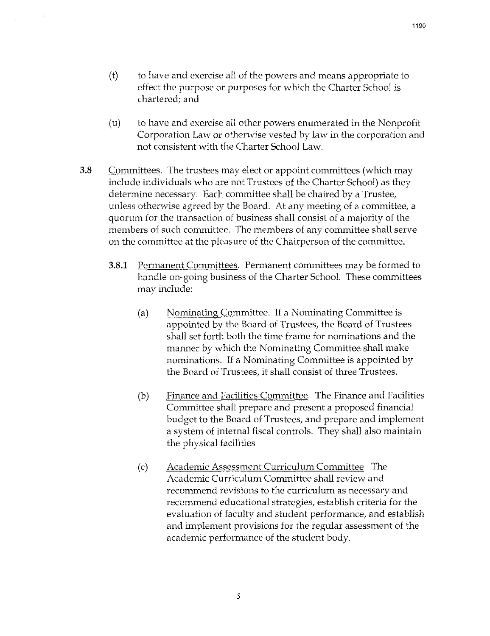- (t) to have and exercise all of the powers and means appropriate to effect the purpose or purposes for which the Charter School is chartered; and
- (u) to have and exercise all other powers enumerated in the Nonprofit Corporation Law or otherwise vested by law in the corporation and not consistent with the Charter School Law.
- **3.8** Committees. The trustees may elect or appoint committees (which may include individuals who are not Trustees of the Charter School) as they determine necessary. Each committee shall be chaired by a Trustee, unless otherwise agreed by the Board. At any meeting of a committee, a quorum for the transaction of business shall consist of a majority of the members of such committee. The members of any committee shall serve on the committee at the pleasure of the Chairperson of the committee.
	- **3.8.1** Permanent Committees. Permanent committees may be formed to handle on-going business of the Charter School. These committees may include:
		- (a) Nominating Committee. If a Nominating Committee is appointed by the Board of Trustees, the Board of Trustees shall set forth both the time frame for nominations and the manner by which the Nominating Committee shall make nominations. If a Nominating Committee is appointed by the Board of Trustees, it shall consist of three Trustees.
		- (b) Finance and Facilities Committee. The Finance and Facilities Committee shall prepare and present a proposed financial budget to the Board of Trustees, and prepare and implement a system of internal fiscal controls. They shall also maintain the physical facilities
		- (c) Academic Assessment Curriculum Committee. The Academic Curriculum Committee shall review and recommend revisions to the curriculum as necessary and recommend educational strategies, establish criteria for the evaluation of faculty and student performance, and establish and implement provisions for the regular assessment of the academic performance of the student body.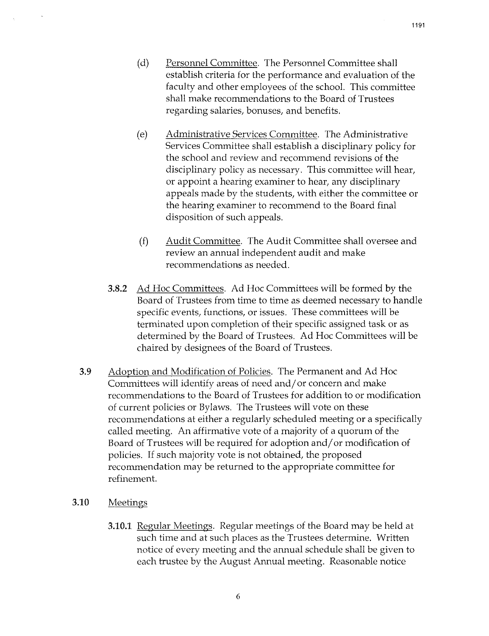- (d) Personnel Committee. The Personnel Committee shall establish criteria for the performance and evaluation of the faculty and other employees of the school. This committee shall make recommendations to the Board of Trustees regarding salaries, bonuses, and benefits.
- (e) Administrative Services Committee. The Administrative Services Committee shall establish a disciplinary policy for the school and review and recommend revisions of the disciplinary policy as necessary. This committee will hear, or appoint a hearing examiner to hear, any disciplinary appeals made by the students, with either the committee or the hearing examiner to recommend to the Board final disposition of such appeals.
- (f) Audit Committee. The Audit Committee shall oversee and review an annual independent audit and make recommendations as needed.
- 3.8.2 Ad Hoc Committees. Ad Hoc Committees will be formed by the Board of Trustees from time to time as deemed necessary to handle specific events, functions, or issues. These committees will be terminated upon completion of their specific assigned task or as determined by the Board of Trustees. Ad Hoc Committees will be chaired by designees of the Board of Trustees.
- 3.9 Adoption and Modification of Policies. The Permanent and Ad Hoc Committees will identify areas of need and/ or concern and make recommendations to the Board of Trustees for addition to or modification of current policies or Bylaws. The Trustees will vote on these recommendations at either a regularly scheduled meeting or a specifically called meeting. An affirmative vote of a majority of a quorum of the Board of Trustees will be required for adoption and/ or modification of policies. If such majority vote is not obtained, the proposed recommendation may be returned to the appropriate committee for refinement.
- 3.10 Meetings
	- **3.10.1** Regular Meetings. Regular meetings of the Board may be held at such time and at such places as the Trustees determine. Written notice of every meeting and the annual schedule shall be given to each trustee by the August Annual meeting. Reasonable notice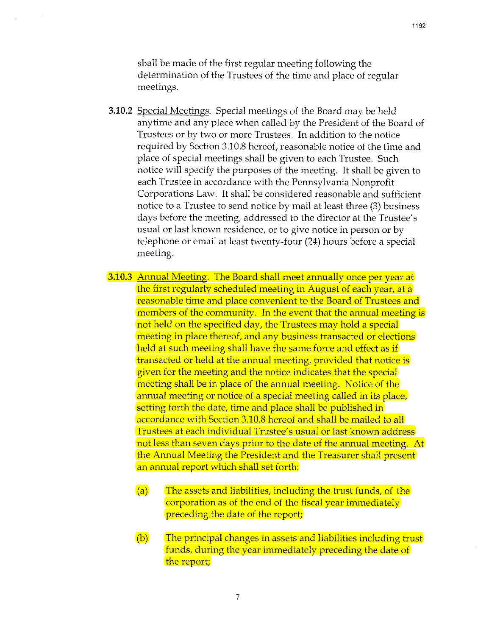shall be made of the first regular meeting following the determination of the Trustees of the time and place of regular meetings.

- 3.10.2 Special Meetings. Special meetings of the Board may be held anytime and any place when called by the President of the Board of Trustees or by two or more Trustees. In addition to the notice required by Section 3.10.8 hereof, reasonable notice of the time and place of special meetings shall be given to each Trustee. Such notice will specify the purposes of the meeting. It shall be given to each Trustee in accordance with the Pennsylvania Nonprofit Corporations Law. It shall be considered reasonable and sufficient notice to a Trustee to send notice by mail at least three (3) business days before the meeting, addressed to the director at the Trustee's usual or last known residence, or to give notice in person or by telephone or email at least twenty-four (24) hours before a special meeting.
- **3.10.3** Annual Meeting. The Board shall meet annually once per year at the first regularly scheduled meeting in August of each year, at a reasonable time and place convenient to the Board of Trustees and members of the community. In the event that the annual meeting is not held on the specified day, the Trustees may hold a special meeting in place thereof, and any business transacted or elections held at such meeting shall have the same force and effect as if transacted or held at the annual meeting, provided that notice is given for the meeting and the notice indicates that the special meeting shall be in place of the annual meeting. Notice of the annual meeting or notice of a special meeting called in its place, setting forth the date, time and place shall be published in accordance with Section 3.10.8 hereof and shall be mailed to all Trustees at each individual Trustee's usual or last known address not less than seven days prior to the date of the annual meeting. At the Annual Meeting the President and the Treasurer shall present an annual report which shall set forth:
	- (a) The assets and liabilities, including the trust funds, of the corporation as of the end of the fiscal year immediately preceding the date of the report;
	- (b) The principal changes in assets and liabilities including trust funds, during the year immediately preceding the date of the report;

7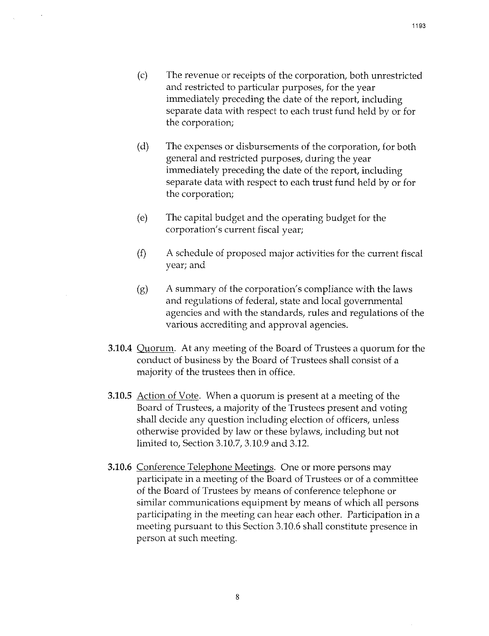- (c) The revenue or receipts of the corporation, both unrestricted and restricted to particular purposes, for the year immediately preceding the date of the report, including separate data with respect to each trust fund held by or for the corporation;
- (d) The expenses or disbursements of the corporation, for both general and restricted purposes, during the year immediately preceding the date of the report, including separate data with respect to each trust fund held by or for the corporation;
- (e) The capital budget and the operating budget for the corporation's current fiscal year;
- (f) A schedule of proposed major activities for the current fiscal year; and
- $(g)$  A summary of the corporation's compliance with the laws and regulations of federal, state and local governmental agencies and with the standards, rules and regulations of the various accrediting and approval agencies.
- 3.10.4 Quorum. At any meeting of the Board of Trustees a quorum for the conduct of business by the Board of Trustees shall consist of a majority of the trustees then in office.
- **3.10.5** Action of Vote. When a quorum is present at a meeting of the Board of Trustees, a majority of the Trustees present and voting shall decide any question including election of officers, unless otherwise provided by law or these bylaws, including but not limited to, Section 3.10.7, 3.10.9 and 3.12.
- 3.10.6 Conference Telephone Meetings. One or more persons may participate in a meeting of the Board of Trustees or of a committee of the Board of Trustees by means of conference telephone or similar communications equipment by means of which all persons participating in the meeting can hear each other. Participation in a meeting pursuant to this Section 3.10.6 shall constitute presence in person at such meeting.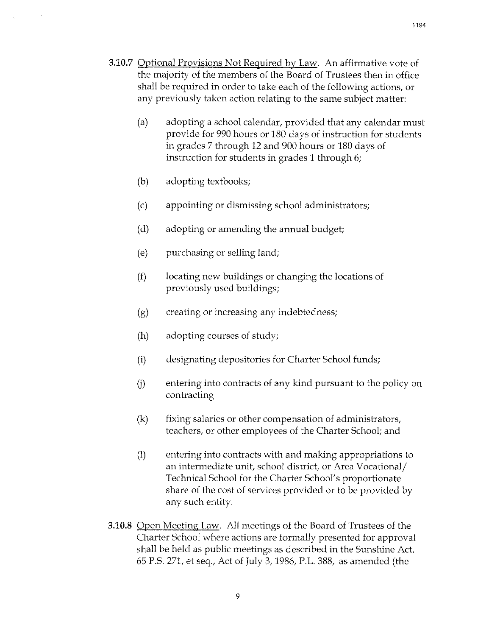- **3.10.7** Optional Provisions Not Required by Law. An affirmative vote of the majority of the members of the Board of Trustees then in office shall be required in order to take each of the following actions, or any previously taken action relating to the same subject matter:
	- (a) adopting a school calendar, provided that any calendar must provide for 990 hours or 180 days of instruction for students in grades 7 through 12 and 900 hours or 180 days of instruction for students in grades **1** through 6;
	- (b) adopting textbooks;
	- (c) appointing or dismissing school administrators;
	- (d) adopting or amending the annual budget;
	- (e) purchasing or selling land;
	- (f) locating new buildings or changing the locations of previously used buildings;
	- (g) creating or increasing any indebtedness;
	- (h) adopting courses of study;
	- (i) designating depositories for Charter School funds;
	- 0) entering into contracts of any kind pursuant to the policy on contracting
	- (k) fixing salaries or other compensation of administrators, teachers, or other employees of the Charter School; and
	- (I) entering into contracts with and making appropriations to an intermediate unit, school district, or Area Vocational/ Technical School for the Charter School's proportionate share of the cost of services provided or to be provided by any such entity.
- **3.10.8** Open Meeting Law. All meetings of the Board of Trustees of the Charter School where actions are formally presented for approval shall be held as public meetings as described in the Sunshine Act, 65 P.S. 271, et seq., Act of July 3,1986, P.L. 388, as amended (the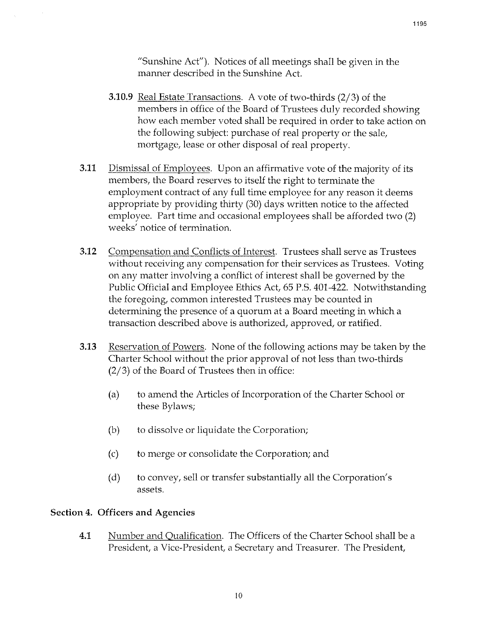"Sunshine Act"). Notices of all meetings shall be given in the manner described in the Sunshine Act.

- **3.10.9** Real Estate Transactions. A vote of two-thirds (2/3) of the members in office of the Board of Trustees duly recorded showing how each member voted shall be required in order to take action on the following subject: purchase of real property or the sale, mortgage, lease or other disposal of real property.
- 3.11 Dismissal of Employees. Upon an affirmative vote of the majority of its members, the Board reserves to itself the right to terminate the employment contract of any full time employee for any reason it deems appropriate by providing thirty (30) days written notice to the affected employee. Part time and occasional employees shall be afforded two (2) weeks' notice of termination.
- **3.12** Compensation and Conflicts of Interest. Trustees shall serve as Trustees without receiving any compensation for their services as Trustees. Voting on any matter involving a conflict of interest shall be governed by the Public Official and Employee Ethics Act, 65 P.S. 401-422. Notwithstanding the foregoing, common interested Trustees may be counted in determining the presence of a quorum at a Board meeting in which a transaction described above is authorized, approved, or ratified.
- **3.13** Reservation of Powers. None of the following actions may be taken by the Charter School without the prior approval of not less than two-thirds  $(2/3)$  of the Board of Trustees then in office:
	- (a) to amend the Articles of Incorporation of the Charter School or these Bylaws;
	- (b) to dissolve or liquidate the Corporation;
	- (c) to merge or consolidate the Corporation; and
	- (d) to convey, seli or transfer substantially all the Corporation's assets.

### **Section 4. Officers and Agencies**

**4.1** Number and Qualification. The Officers of the Charter School shall be a President, a Vice-President, a Secretary and Treasurer. The President,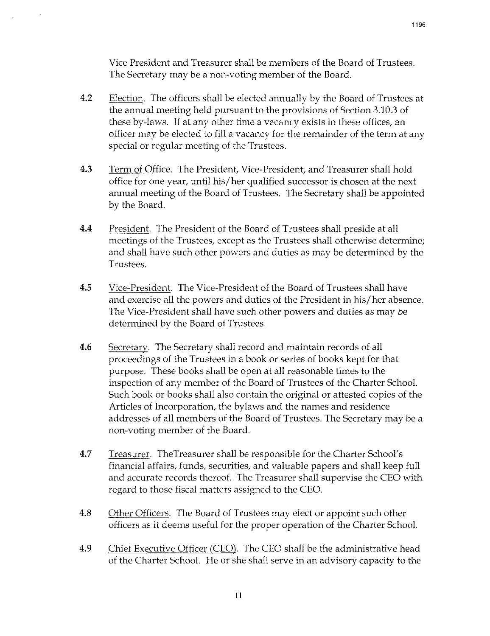Vice President and Treasurer shall be members of the Board of Trustees. The Secretary may be a non-voting member of the Board.

- 4.2 Election. The officers shall be elected annually by the Board of Trustees at the annual meeting held pursuant to the provisions of Section 3.10.3 of these by-laws. If at any other time a vacancy exists in these offices, an officer may be elected to fill a vacancy for the remainder of the term at any special or regular meeting of the Trustees.
- 4.3 Term of Office. The President, Vice-President, and Treasurer shall hold office for one year, until his/her qualified successor is chosen at the next annual meeting of the Board of Trustees. The Secretary shall be appointed by the Board.
- 4.4 President. The President of the Board of Trustees shall preside at all meetings of the Trustees, except as the Trustees shall otherwise determine; and shall have such other powers and duties as may be determined by the Trustees.
- 4.5 Vice-President. The Vice-President of the Board of Trustees shall have and exercise all the powers and duties of the President in his/her absence. The Vice-President shall have such other powers and duties as may be determined by the Board of Trustees.
- 4.6 Secretary. The Secretary shall record and maintain records of all proceedings of the Trustees in a book or series of books kept for that purpose. These books shall be open at all reasonable times to the inspection of any member of the Board of Trustees of the Charter School. Such book or books shall also contain the original or attested copies of the Articles of Incorporation, the bylaws and the names and residence addresses of all members of the Board of Trustees. The Secretary may be a non-voting member of the Board.
- 4.7 Treasurer. TheTreasurer shall be responsible for the Charter School's financial affairs, funds, securities, and valuable papers and shall keep full and accurate records thereof. The Treasurer shall supervise the CEO with regard to those fiscal matters assigned to the CEO.
- **4.8** Other Officers. The Board of Trustees may elect or appoint such other officers as it deems useful for the proper operation of the Charter School.
- 4.9 Chief Executive Officer (CEO). The CEO shall be the administrative head of the Charter School. He or she shall serve in an advisory capacity to the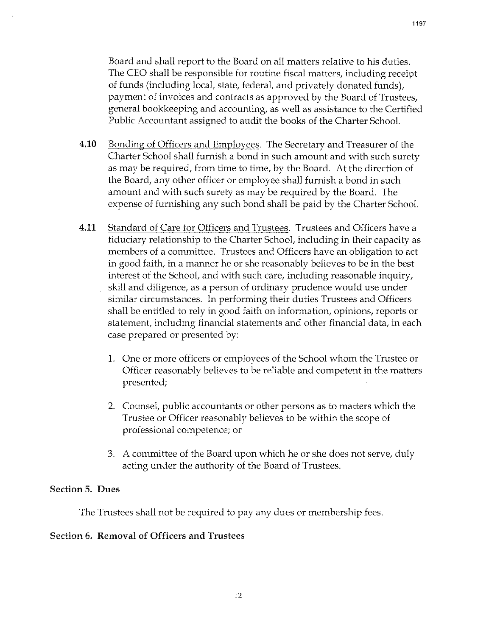Board and shall report to the Board on all matters relative to his duties. The CEO shall be responsible for routine fiscal matters, including receipt of funds (including local, state, federal, and privately donated funds), payment of invoices and contracts as approved by the Board of Trustees, general bookkeeping and accounting, as well as assistance to the Certified Public Accountant assigned to audit the books of the Charter School.

- **4.10** Bonding of Officers and Employees. The Secretary and Treasurer of the Charter School shall furnish a bond in such amount and with such surety as may be required, from time to time, by the Board. At the direction of the Board, any other officer or employee shall furnish a bond in such amount and with such surety as may be required by the Board. The expense of furnishing any such bond shall be paid by the Charter School.
- 4.11 Standard of Care for Officers and Trustees. Trustees and Officers have a fiduciary relationship to the Charter School, including in their capacity as members of a committee. Trustees and Officers have an obligation to act in good faith, in a manner he or she reasonably believes to be in the best interest of the School, and with such care, including reasonable inquiry, skill and diligence, as a person of ordinary prudence would use under similar circumstances. In performing their duties Trustees and Officers shall be entitled to rely in good faith on information, opinions, reports or statement, including financial statements and other financial data, in each case prepared or presented by:
	- 1. One or more officers or employees of the School whom the Trustee or Officer reasonably believes to be reliable and competent in the matters presented;
	- 2. Counsel, public accountants or other persons as to matters which the Trustee or Officer reasonably believes to be within the scope of professional competence; or
	- 3. A committee of the Board upon which he or she does not serve, duly acting under the authority of the Board of Trustees.

### Section 5. Dues

The Trustees shall not be required to pay any dues or membership fees.

### Section 6. Removal of Officers and Trustees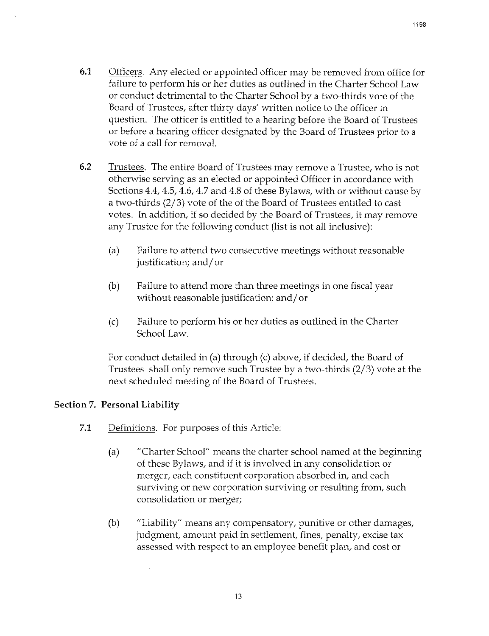- 6.1 Officers. Any elected or appointed officer may be removed from office for failure to perform his or her duties as outlined in the Charter School Law or conduct detrimental to the Charter School by a two-thirds vote of the Board of Trustees, after thirty days' written notice to the officer in question. The officer is entitled to a hearing before the Board of Trustees or before a hearing officer designated by the Board of Trustees prior to a vote of a call for removaL
- **6.2** Trustees. The entire Board of Trustees may remove a Trustee, who is not otherwise serving as an elected or appointed Officer in accordance with Sections 4.4, 4.5, 4.6, 4.7 and 4.8 of these Bylaws, with or without cause by a two-thirds  $(2/3)$  vote of the of the Board of Trustees entitled to cast votes. In addition, if so decided by the Board of Trustees, it may remove any Trustee for the following conduct (list is not all inclusive):
	- (a) Failure to attend two consecutive meetings without reasonable justification; and/ or
	- (b) Failure to attend more than three meetings in one fiscal year without reasonable justification; and/ or
	- (c) Failure to perform his or her duties as outlined in the Charter School Law.

For conduct detailed in (a) through (c) above, if decided, the Board of Trustees shall only remove such Trustee by a two-thirds (2/3) vote at the next scheduled meeting of the Board of Trustees.

### **Section 7. Personal Liability**

- 7.1 Definitions. For purposes of this Article:
	- (a) "Charter School" means the charter school named at the beginning of these Bylaws, and if it is involved in any consolidation or merger, each constituent corporation absorbed in, and each surviving or new corporation surviving or resulting from, such consolidation or merger;
	- (b) "Liability" means any compensatory, punitive or other damages, judgment, amount paid in settlement, fines, penalty, excise tax assessed with respect to an employee benefit plan, and cost or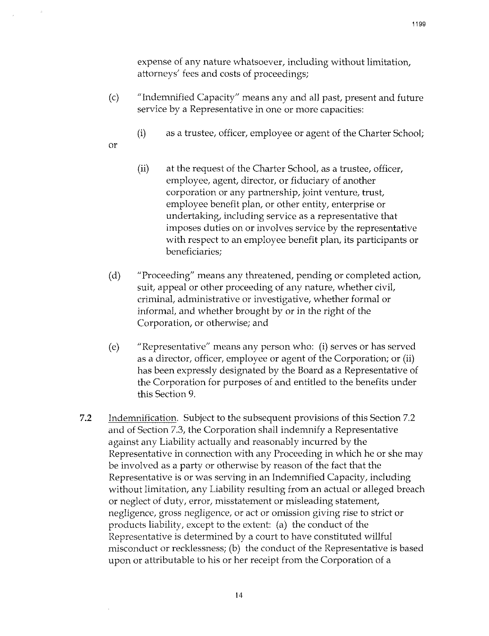expense of any nature whatsoever, including without limitation, attorneys' fees and costs of proceedings;

- (c) "Indemnified Capacity" means any and all past, present and future service by a Representative in one or more capacities:
	- (i) as a trustee, officer, employee or agent of the Charter School;
- or
- (ii) at the request of the Charter School, as a trustee, officer, employee, agent, director, or fiduciary of another corporation or any partnership, joint venture, trust, employee benefit plan, or other entity, enterprise or undertaking, including service as a representative that imposes duties on or involves service by the representative with respect to an employee benefit plan, its participants or beneficiaries;
- (d) "Proceeding" means any threatened, pending or completed action, suit, appeal or other proceeding of any nature, whether civil, criminal, administrative or investigative, whether formal or informal, and whether brought by or in the right of the Corporation, or otherwise; and
- (e) "Representative" means any person who: (i) serves or has served as a director, officer, employee or agent of the Corporation; or (ii) has been expressly designated by the Board as a Representative of the Corporation for purposes of and entitled to the benefits under this Section 9.
- 7.2 Indemnification. Subject to the subsequent provisions of this Section 7.2 and of Section 7.3, the Corporation shall indemnify a Representative against any Liability actually and reasonably incurred by the Representative in connection with any Proceeding in which he or she may be involved as a party or otherwise by reason of the fact that the Representative is or was serving in an Indemnified Capacity, including without limitation, any Liability resulting from an actual or alleged breach or neglect of duty, error, misstatement or misleading statement, negligence, gross negligence, or act or omission giving rise to strict or products liability, except to the extent: (a) the conduct of the Representative is determined by a court to have constituted willful misconduct or recklessness; (b) the conduct of the Representative is based upon or attributable to his or her receipt from the Corporation of a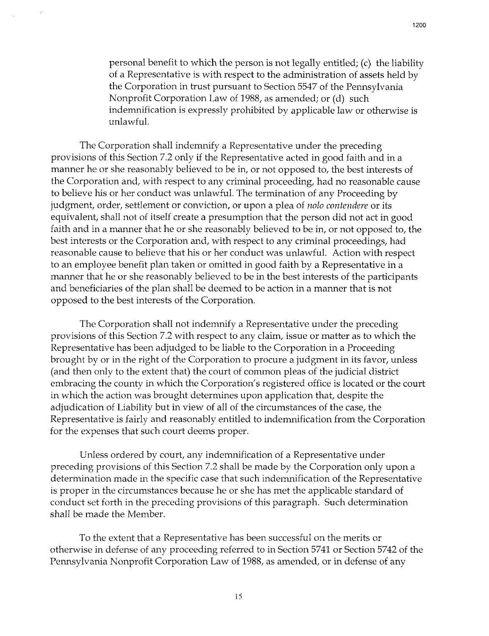personal benefit to which the person is not legally entitled; (c) the liability of a Representative is with respect to the administration of assets held by the Corporation in trust pursuant to Section 5547 of the Pennsylvania Nonprofit Corporation Law of 1988, as amended; or (d) such indemnification is expressly prohibited by applicable law or otherwise is unlawful.

The Corporation shall indemnify a Representative under the preceding provisions of this Section 7.2 only if the Representative acted in good faith and in a manner he or she reasonably believed to be in, or not opposed to, the best interests of the Corporation and, with respect to any criminal proceeding, had no reasonable cause to believe his or her conduct was unlawful. The termination of any Proceeding by judgment, order, settlement or conviction, or upon a plea of *nolo contendere* or its equivalent, shall not of itself create a presumption that the person did not act in good faith and in a manner that he or she reasonably believed to be in, or not opposed to, the best interests or the Corporation and, with respect to any criminal proceedings, had reasonable cause to believe that his or her conduct was unlawful. Action with respect to an employee benefit plan taken or omitted in good faith by a Representative in a manner that he or she reasonably believed to be in the best interests of the participants and beneficiaries of the plan shall be deemed to be action in a manner that is not opposed to the best interests of the Corporation.

The Corporation shall not indemnify a Representative under the preceding provisions of this Section 7.2 with respect to any claim, issue or matter as to which the Representative has been adjudged to be liable to the Corporation in a Proceeding brought by or in the right of the Corporation to procure a judgment in its favor, unless (and then only to the extent that) the court of common pleas of the judicial district embracing the county in which the Corporation's registered office is located or the court in which the action was brought determines upon application that, despite the adjudication of Liability but in view of all of the circumstances of the case, the Representative is fairly and reasonably entitled to indemnification from the Corporation for the expenses that such court deems proper.

Unless ordered by court, any indemnification of a Representative under preceding provisions of this Section 7.2 shall be made by the Corporation only upon a determination made in the specific case that such indemnification of the Representative is proper in the circumstances because he or she has met the applicable standard of conduct set forth in the preceding provisions of this paragraph. Such determination shall be made the Member.

To the extent that a Representative has been successful on the merits or otherwise in defense of any proceeding referred to in Section 5741 or Section 5742 of the Pennsylvania Nonprofit Corporation Law of 1988, as amended, or in defense of any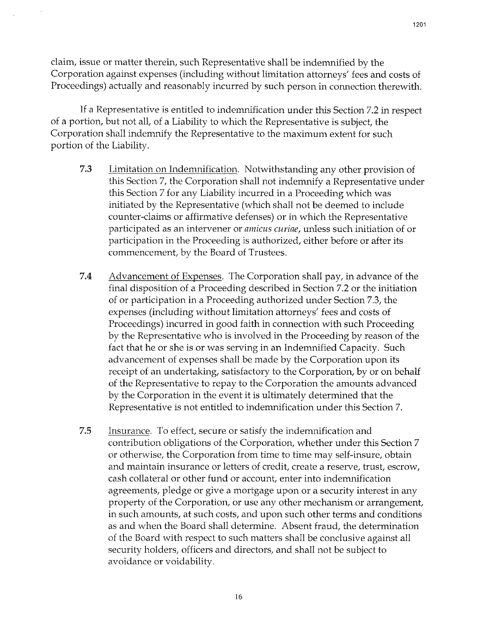claim, issue or matter therein, such Representative shall be indemnified by the Corporation against expenses (including without limitation attorneys' fees and costs of Proceedings) actually and reasonably incurred by such person in connection therewith.

If a Representative is entitled to indemnification under this Section 7.2 in respect of a portion, but not all, of a Liability to which the Representative is subject, the Corporation shall indemnify the Representative to the maximum extent for such portion of the Liability.

- 7.3 Limitation on Indemnification. Notwithstanding any other provision of this Section 7, the Corporation shall not indemnify a Representative under this Section 7 for any Liability incurred in a Proceeding which was initiated by the Representative (which shall not be deemed to include counter-claims or affirmative defenses) or in which the Representative participated as an intervener or *amicus curiae,* unless such initiation of or participation in the Proceeding is authorized, either before or after its commencement, by the Board of Trustees.
- 7.4 Advancement of Expenses. The Corporation shall pay, in advance of the final disposition of a Proceeding described in Section 7.2 or the initiation of or participation in a Proceeding authorized under Section 7.3, the expenses (including without limitation attorneys' fees and costs of Proceedings) incurred in good faith in connection with such Proceeding by the Representative who is involved in the Proceeding by reason of the fact that he or she is or was serving in an Indemnified Capacity. Such advancement of expenses shall be made by the Corporation upon its receipt of an undertaking, satisfactory to the Corporation, by or on behalf of the Representative to repay to the Corporation the amounts advanced by the Corporation in the event it is ultimately determined that the Representative is not entitled to indemnification under this Section 7.
- 7.5 Insurance. To effect, secure or satisfy the indemnification and contribution obligations of the Corporation, whether under this Section 7 or otherwise, the Corporation from time to time may self-insure, obtain and maintain insurance or letters of credit, create a reserve, trust, escrow, cash collateral or other fund or account, enter into indemnification agreements, pledge or give a mortgage upon or a security interest in any property of the Corporation, or use any other mechanism or arrangement, in such amounts, at such costs, and upon such other terms and conditions as and when the Board shall determine. Absent fraud, the determination of the Board with respect to such matters shall be conclusive against all security holders, officers and directors, and shall not be subject to avoidance or voidability.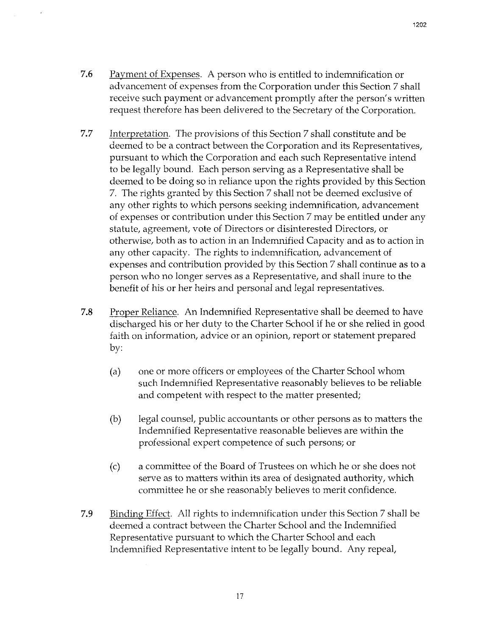- 7.6 Payment of Expenses. A person who is entitled to indemnification or advancement of expenses from the Corporation under this Section 7 shall receive such payment or advancement promptly after the person's written request therefore has been delivered to the Secretary of the Corporation.
- 7.7 Interpretation. The provisions of this Section 7 shall constitute and be deemed to be a contract between the Corporation and its Representatives, pursuant to which the Corporation and each such Representative intend to be legally bound. Each person serving as a Representative shall be deemed to be doing so in reliance upon the rights provided by this Section 7. The rights granted by this Section 7 shall not be deemed exclusive of any other rights to which persons seeking indemnification, advancement of expenses or contribution under this Section 7 may be entitled under any statute, agreement, vote of Directors or disinterested Directors, or otherwise, both as to action in an Indemnified Capacity and as to action in any other capacity. The rights to indemnification, advancement of expenses and contribution provided by this Section 7 shall continue as to a person who no longer serves as a Representative, and shall inure to the benefit of his or her heirs and personal and legal representatives.
- 7.8 Proper Reliance. An Indemnified Representative shall be deemed to have discharged his or her duty to the Charter School if he or she relied in good faith on information, advice or an opinion, report or statement prepared by:
	- (a) one or more officers or employees of the Charter School whom such Indemnified Representative reasonably believes to be reliable and competent with respect to the matter presented;
	- (b) legal counsel, public accountants or other persons as to matters the Indemnified Representative reasonable believes are within the professional expert competence of such persons; or
	- (c) a committee of the Board of Trustees on which he or she does not serve as to matters within its area of designated authority, which committee he or she reasonably believes to merit confidence.
- 7.9 Binding Effect. All rights to indemnification under this Section 7 shall be deemed a contract between the Charter School and the Indemnified Representative pursuant to which the Charter School and each Indemnified Representative intent to be legally bound. Any repeal,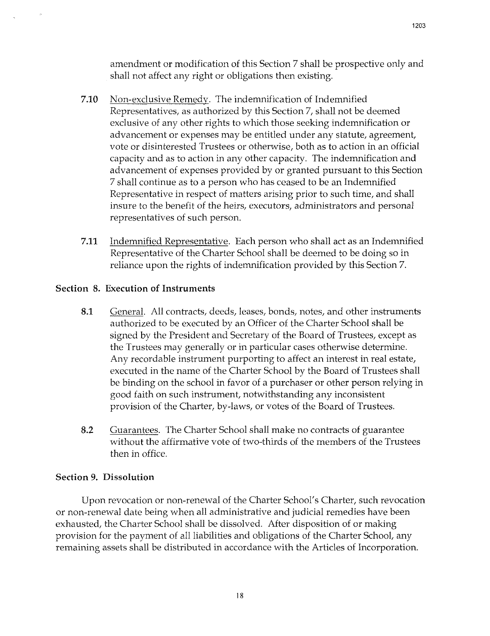amendment or modification of this Section 7 shall be prospective only and shall not affect any right or obligations then existing.

- **7.10** Non-exclusive Remedy. The indemnification of Indemnified Representatives, as authorized by this Section 7, shall not be deemed exclusive of any other rights to which those seeking indemnification or advancement or expenses may be entitled under any statute, agreement, vote or disinterested Trustees or otherwise, both as to action in an official capacity and as to action in any other capacity. The indemnification and advancement of expenses provided by or granted pursuant to this Section 7 shall continue as to a person who has ceased to be an Indemnified Representative in respect of matters arising prior to such time, and shall insure to the benefit of the heirs, executors, administrators and personal representatives of such person.
- **7.11** Indemnified Representative. Each person who shall act as an Indemnified Representative of the Charter School shall be deemed to be doing so in reliance upon the rights of indemnification provided by this Section 7.

## **Section 8. Execution of Instruments**

- **8.1** General. All contracts, deeds, leases, bonds, notes, and other instruments authorized to be executed by an Officer of the Charter School shall be signed by the President and Secretary of the Board of Trustees, except as the Trustees may generally or in particular cases otherwise determine. Any recordable instrument purporting to affect an interest in real estate, executed in the name of the Charter School by the Board of Trustees shall be binding on the school in favor of a purchaser or other person relying in good faith on such instrument, notwithstanding any inconsistent provision of the Charter, by-laws, or votes of the Board of Trustees.
- 8.2 Guarantees. The Charter School shall make no contracts of guarantee without the affirmative vote of two-thirds of the members of the Trustees then in office.

### **Section 9. Dissolution**

Upon revocation or non-renewal of the Charter School's Charter, such revocation or non-renewal date being when all administrative and judicial remedies have been exhausted, the Charter School shall be dissolved. After disposition of or making provision for the payment of all liabilities and obligations of the Charter School, any remaining assets shall be distributed in accordance with the Articles of Incorporation.